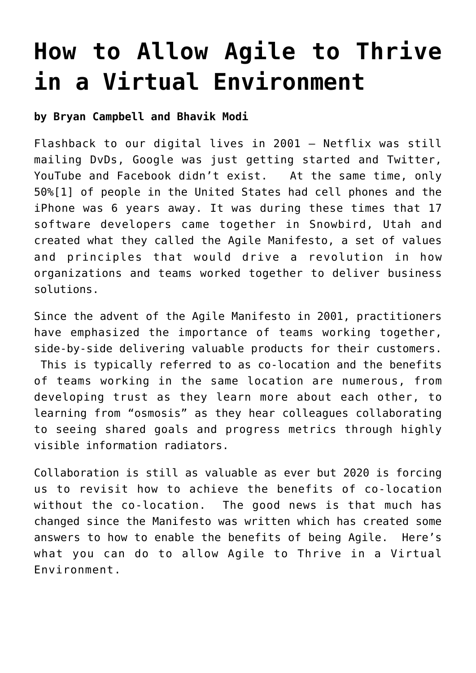# **[How to Allow Agile to Thrive](https://bryancampbell.com/how-to-allow-agile-to-thrive-in-a-virtual-environment/) [in a Virtual Environment](https://bryancampbell.com/how-to-allow-agile-to-thrive-in-a-virtual-environment/)**

#### **by Bryan Campbell and Bhavik Modi**

<span id="page-0-0"></span>Flashback to our digital lives in 2001 – Netflix was still mailing DvDs, Google was just getting started and Twitter, YouTube and Facebook didn't exist. At the same time, only 50[%\[1\]](#page-3-0) of people in the United States had cell phones and the iPhone was 6 years away. It was during these times that 17 software developers came together in Snowbird, Utah and created what they called the [Agile Manifesto](http://www.agilemanifesto.,org), a set of values and principles that would drive a revolution in how organizations and teams worked together to deliver business solutions.

Since the advent of the Agile Manifesto in 2001, practitioners have emphasized the importance of teams working together, side-by-side delivering valuable products for their customers. This is typically referred to as co-location and the benefits of teams working in the same location are numerous, from developing trust as they learn more about each other, to learning from "osmosis" as they hear colleagues collaborating to seeing shared goals and progress metrics through highly visible information radiators.

Collaboration is still as valuable as ever but 2020 is forcing us to revisit how to achieve the benefits of co-location without the co-location. The good news is that much has changed since the Manifesto was written which has created some answers to how to enable the benefits of being Agile. Here's what you can do to allow Agile to Thrive in a Virtual Environment.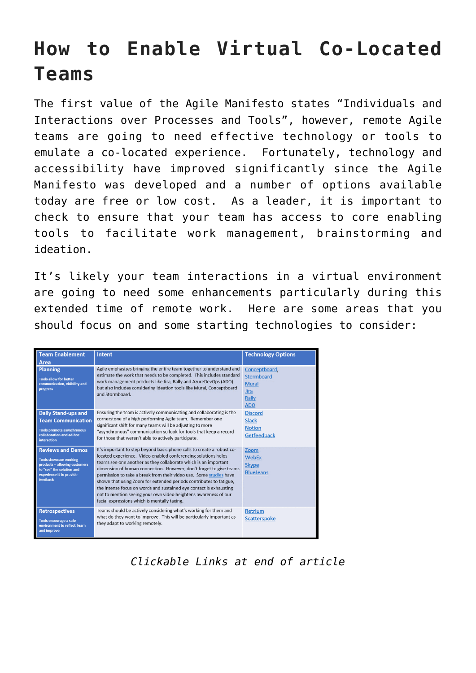### **How to Enable Virtual Co-Located Teams**

The first value of the Agile Manifesto states "Individuals and Interactions over Processes and Tools", however, remote Agile teams are going to need effective technology or tools to emulate a co-located experience. Fortunately, technology and accessibility have improved significantly since the Agile Manifesto was developed and a number of options available today are free or low cost. As a leader, it is important to check to ensure that your team has access to core enabling tools to facilitate work management, brainstorming and ideation.

It's likely your team interactions in a virtual environment are going to need some enhancements particularly during this extended time of remote work. Here are some areas that you should focus on and some starting technologies to consider:

| <b>Team Enablement</b><br>Area                                                                                                                                  | <b>Intent</b>                                                                                                                                                                                                                                                                                                                                                                                                                                                                                                                                                                                                          | <b>Technology Options</b>                                                         |
|-----------------------------------------------------------------------------------------------------------------------------------------------------------------|------------------------------------------------------------------------------------------------------------------------------------------------------------------------------------------------------------------------------------------------------------------------------------------------------------------------------------------------------------------------------------------------------------------------------------------------------------------------------------------------------------------------------------------------------------------------------------------------------------------------|-----------------------------------------------------------------------------------|
| <b>Planning</b><br><b>Tools allow for better</b><br>communication, visibility and<br><b>progress</b>                                                            | Agile emphasizes bringing the entire team together to understand and<br>estimate the work that needs to be completed. This includes standard<br>work management products like Jira, Rally and AzureDevOps (ADO)<br>but also includes considering ideation tools like Mural, Conceptboard<br>and Stormboard.                                                                                                                                                                                                                                                                                                            | Conceptboard,<br><b>Stormboard</b><br><b>Mural</b><br>Jira<br>Rally<br><b>ADO</b> |
| <b>Daily Stand-ups and</b><br><b>Team Communication</b><br><b>Tools promote asynchronous</b><br>collaboration and ad-hoc<br><b>interaction</b>                  | Ensuring the team is actively communicating and collaborating is the<br>cornerstone of a high performing Agile team. Remember one<br>significant shift for many teams will be adjusting to more<br>"asynchronous" communication so look for tools that keep a record<br>for those that weren't able to actively participate.                                                                                                                                                                                                                                                                                           | <b>Discord</b><br>Slack<br><b>Notion</b><br>Getfeedback                           |
| <b>Reviews and Demos</b><br><b>Tools showcase working</b><br>products - allowing customers<br>to "see" the solution and<br>experience it to provide<br>feedback | It's important to step beyond basic phone calls to create a robust co-<br>located experience. Video enabled conferencing solutions helps<br>teams see one another as they collaborate which is an important<br>dimension of human connection. However, don't forget to give teams<br>permission to take a break from their video use. Some studies have<br>shown that using Zoom for extended periods contributes to fatigue,<br>the intense focus on words and sustained eve contact is exhausting<br>not to mention seeing your own video heightens awareness of our<br>facial expressions which is mentally taxing. | Zoom<br>WebEx<br><b>Skype</b><br><b>BlueJeans</b>                                 |
| <b>Retrospectives</b><br>Tools encourage a safe<br>environment to reflect, learn<br>and improve                                                                 | Teams should be actively considering what's working for them and<br>what do they want to improve. This will be particularly important as<br>they adapt to working remotely.                                                                                                                                                                                                                                                                                                                                                                                                                                            | <b>Retrium</b><br>Scatterspoke                                                    |

*Clickable Links at end of article*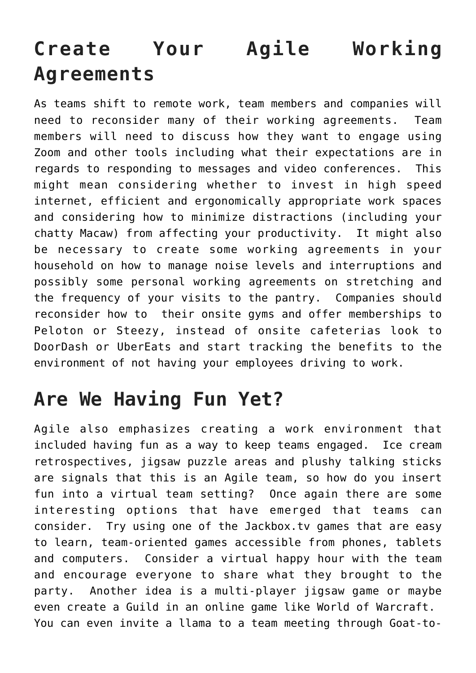## **Create Your Agile Working Agreements**

As teams shift to remote work, team members and companies will need to reconsider many of their working agreements. Team members will need to discuss how they want to engage using Zoom and other tools including what their expectations are in regards to responding to messages and video conferences. This might mean considering whether to invest in high speed internet, efficient and ergonomically appropriate work spaces and considering how to minimize distractions (including your chatty Macaw) from affecting your productivity. It might also be necessary to create some working agreements in your household on how to manage noise levels and interruptions and possibly some personal working agreements on stretching and the frequency of your visits to the pantry. Companies should reconsider how to their onsite gyms and offer memberships to Peloton or Steezy, instead of onsite cafeterias look to DoorDash or UberEats and start tracking the benefits to the environment of not having your employees driving to work.

### **Are We Having Fun Yet?**

Agile also emphasizes creating a work environment that included having fun as a way to keep teams engaged. Ice cream retrospectives, jigsaw puzzle areas and plushy talking sticks are signals that this is an Agile team, so how do you insert fun into a virtual team setting? Once again there are some interesting options that have emerged that teams can consider. Try using one of the [Jackbox.tv](http://www.jackboxgames.com) games that are easy to learn, team-oriented games accessible from phones, tablets and computers. Consider a virtual happy hour with the team and encourage everyone to share what they brought to the party. Another idea is a multi-player jigsaw game or maybe even create a Guild in an online game like [World of Warcraft](http://www.worldofwarcraft.com). You can even invite a llama to a team meeting through [Goat-to-](https://www.sweetfarm.org/goat-2-meeting)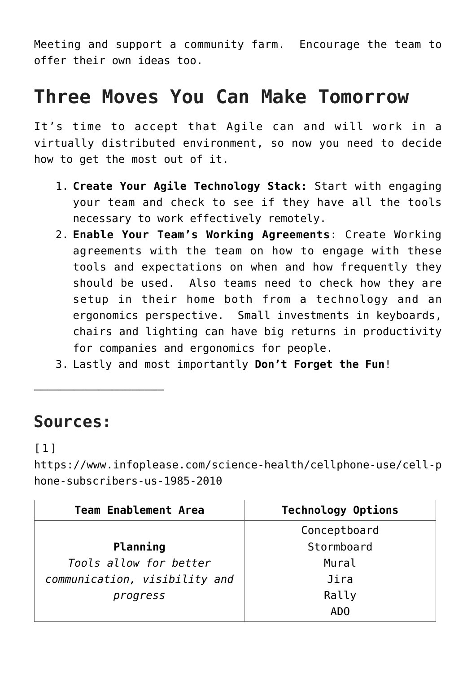[Meeting](https://www.sweetfarm.org/goat-2-meeting) and support a community farm. Encourage the team to offer their own ideas too.

#### **Three Moves You Can Make Tomorrow**

It's time to accept that Agile can and will work in a virtually distributed environment, so now you need to decide how to get the most out of it.

- 1. **Create Your Agile Technology Stack:** Start with engaging your team and check to see if they have all the tools necessary to work effectively remotely.
- 2. **Enable Your Team's Working Agreements**: Create Working agreements with the team on how to engage with these tools and expectations on when and how frequently they should be used. Also teams need to check how they are setup in their home both from a technology and an ergonomics perspective. Small investments in keyboards, chairs and lighting can have big returns in productivity for companies and ergonomics for people.
- 3. Lastly and most importantly **Don't Forget the Fun**!

#### **Sources:**

———————————————————–

#### <span id="page-3-0"></span>[\[1\]](#page-0-0)

[https://www.infoplease.com/science-health/cellphone-use/cell-p](https://www.infoplease.com/science-health/cellphone-use/cell-phone-subscribers-us-1985-2010) [hone-subscribers-us-1985-2010](https://www.infoplease.com/science-health/cellphone-use/cell-phone-subscribers-us-1985-2010) 

| <b>Team Enablement Area</b>   | <b>Technology Options</b> |  |
|-------------------------------|---------------------------|--|
|                               | Conceptboard              |  |
| Planning                      | Stormboard                |  |
| Tools allow for better        | Mural                     |  |
| communication, visibility and | Jira                      |  |
| progress                      | Rally                     |  |
|                               | AD <sub>0</sub>           |  |